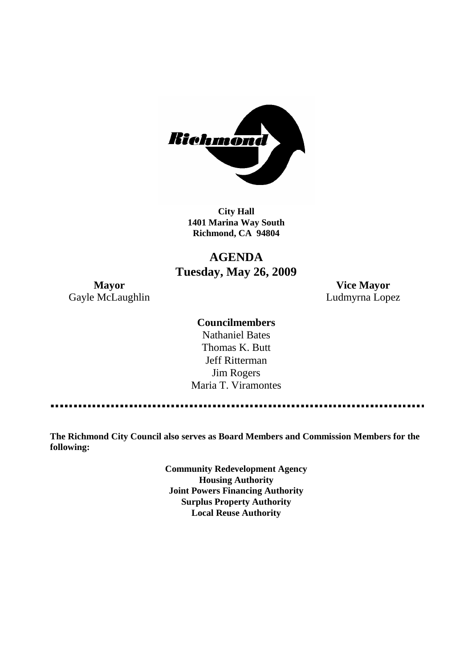

**City Hall 1401 Marina Way South Richmond, CA 94804**

# **AGENDA Tuesday, May 26, 2009**

Gayle McLaughlin **Ludmyrna Lopez** 

**Mayor Vice Mayor**

### **Councilmembers**

Nathaniel Bates Thomas K. Butt Jeff Ritterman Jim Rogers Maria T. Viramontes

**The Richmond City Council also serves as Board Members and Commission Members for the following:**

> **Community Redevelopment Agency Housing Authority Joint Powers Financing Authority Surplus Property Authority Local Reuse Authority**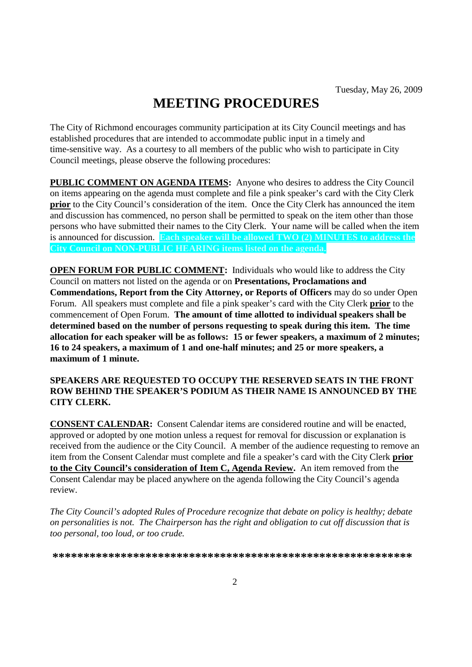# **MEETING PROCEDURES**

The City of Richmond encourages community participation at its City Council meetings and has established procedures that are intended to accommodate public input in a timely and time-sensitive way. As a courtesy to all members of the public who wish to participate in City Council meetings, please observe the following procedures:

**PUBLIC COMMENT ON AGENDA ITEMS:** Anyone who desires to address the City Council on items appearing on the agenda must complete and file a pink speaker's card with the City Clerk **prior** to the City Council's consideration of the item. Once the City Clerk has announced the item and discussion has commenced, no person shall be permitted to speak on the item other than those persons who have submitted their names to the City Clerk. Your name will be called when the item is announced for discussion. **Each speaker will be allowed TWO (2) MINUTES to address the City Council on NON-PUBLIC HEARING items listed on the agenda.**

**OPEN FORUM FOR PUBLIC COMMENT:** Individuals who would like to address the City Council on matters not listed on the agenda or on **Presentations, Proclamations and Commendations, Report from the City Attorney, or Reports of Officers** may do so under Open Forum. All speakers must complete and file a pink speaker's card with the City Clerk **prior** to the commencement of Open Forum. **The amount of time allotted to individual speakers shall be determined based on the number of persons requesting to speak during this item. The time allocation for each speaker will be as follows: 15 or fewer speakers, a maximum of 2 minutes; 16 to 24 speakers, a maximum of 1 and one-half minutes; and 25 or more speakers, a maximum of 1 minute.**

### **SPEAKERS ARE REQUESTED TO OCCUPY THE RESERVED SEATS IN THE FRONT ROW BEHIND THE SPEAKER'S PODIUM AS THEIR NAME IS ANNOUNCED BY THE CITY CLERK.**

**CONSENT CALENDAR:** Consent Calendar items are considered routine and will be enacted, approved or adopted by one motion unless a request for removal for discussion or explanation is received from the audience or the City Council. A member of the audience requesting to remove an item from the Consent Calendar must complete and file a speaker's card with the City Clerk **prior to the City Council's consideration of Item C, Agenda Review.** An item removed from the Consent Calendar may be placed anywhere on the agenda following the City Council's agenda review.

*The City Council's adopted Rules of Procedure recognize that debate on policy is healthy; debate on personalities is not. The Chairperson has the right and obligation to cut off discussion that is too personal, too loud, or too crude.*

**\*\*\*\*\*\*\*\*\*\*\*\*\*\*\*\*\*\*\*\*\*\*\*\*\*\*\*\*\*\*\*\*\*\*\*\*\*\*\*\*\*\*\*\*\*\*\*\*\*\*\*\*\*\*\*\*\*\***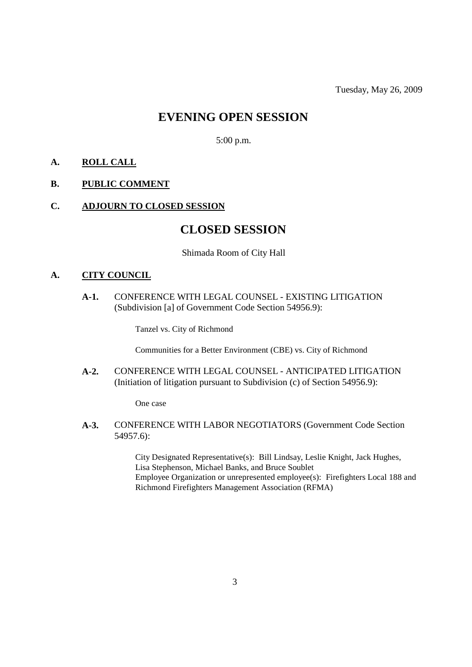# **EVENING OPEN SESSION**

5:00 p.m.

### **A. ROLL CALL**

### **B. PUBLIC COMMENT**

### **C. ADJOURN TO CLOSED SESSION**

# **CLOSED SESSION**

#### Shimada Room of City Hall

## **A. CITY COUNCIL**

**A-1.** CONFERENCE WITH LEGAL COUNSEL - EXISTING LITIGATION (Subdivision [a] of Government Code Section 54956.9):

Tanzel vs. City of Richmond

Communities for a Better Environment (CBE) vs. City of Richmond

**A-2.** CONFERENCE WITH LEGAL COUNSEL - ANTICIPATED LITIGATION (Initiation of litigation pursuant to Subdivision (c) of Section 54956.9):

One case

**A-3.** CONFERENCE WITH LABOR NEGOTIATORS (Government Code Section 54957.6):

> City Designated Representative(s): Bill Lindsay, Leslie Knight, Jack Hughes, Lisa Stephenson, Michael Banks, and Bruce Soublet Employee Organization or unrepresented employee(s): Firefighters Local 188 and Richmond Firefighters Management Association (RFMA)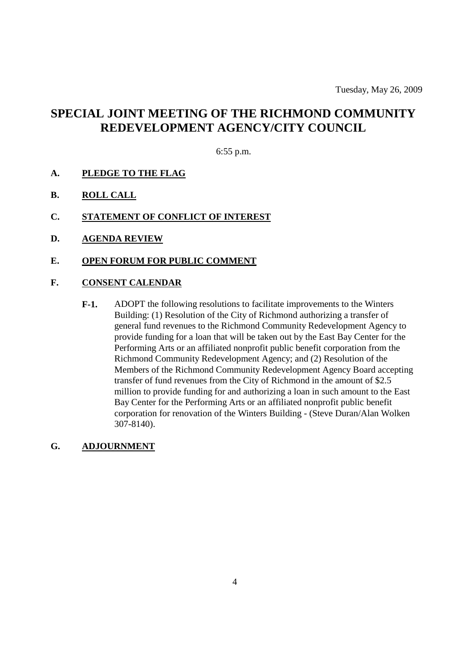# **SPECIAL JOINT MEETING OF THE RICHMOND COMMUNITY REDEVELOPMENT AGENCY/CITY COUNCIL**

6:55 p.m.

- **A. PLEDGE TO THE FLAG**
- **B. ROLL CALL**
- **C. STATEMENT OF CONFLICT OF INTEREST**
- **D. AGENDA REVIEW**
- **E. OPEN FORUM FOR PUBLIC COMMENT**
- **F. CONSENT CALENDAR**
	- **F-1.** ADOPT the following resolutions to facilitate improvements to the Winters Building: (1) Resolution of the City of Richmond authorizing a transfer of general fund revenues to the Richmond Community Redevelopment Agency to provide funding for a loan that will be taken out by the East Bay Center for the Performing Arts or an affiliated nonprofit public benefit corporation from the Richmond Community Redevelopment Agency; and (2) Resolution of the Members of the Richmond Community Redevelopment Agency Board accepting transfer of fund revenues from the City of Richmond in the amount of \$2.5 million to provide funding for and authorizing a loan in such amount to the East Bay Center for the Performing Arts or an affiliated nonprofit public benefit corporation for renovation of the Winters Building - (Steve Duran/Alan Wolken 307-8140).

**G. ADJOURNMENT**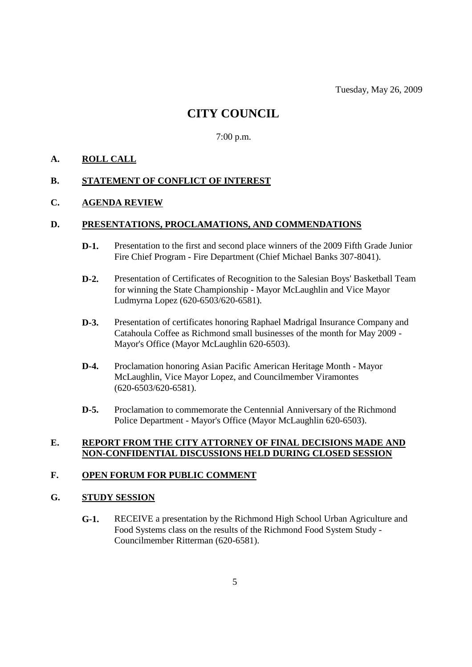Tuesday, May 26, 2009

# **CITY COUNCIL**

7:00 p.m.

### **A. ROLL CALL**

### **B. STATEMENT OF CONFLICT OF INTEREST**

#### **C. AGENDA REVIEW**

#### **D. PRESENTATIONS, PROCLAMATIONS, AND COMMENDATIONS**

- **D-1.** Presentation to the first and second place winners of the 2009 Fifth Grade Junior Fire Chief Program - Fire Department (Chief Michael Banks 307-8041).
- **D-2.** Presentation of Certificates of Recognition to the Salesian Boys' Basketball Team for winning the State Championship - Mayor McLaughlin and Vice Mayor Ludmyrna Lopez (620-6503/620-6581).
- **D-3.** Presentation of certificates honoring Raphael Madrigal Insurance Company and Catahoula Coffee as Richmond small businesses of the month for May 2009 - Mayor's Office (Mayor McLaughlin 620-6503).
- **D-4.** Proclamation honoring Asian Pacific American Heritage Month Mayor McLaughlin, Vice Mayor Lopez, and Councilmember Viramontes (620-6503/620-6581).
- **D-5.** Proclamation to commemorate the Centennial Anniversary of the Richmond Police Department - Mayor's Office (Mayor McLaughlin 620-6503).

### **E. REPORT FROM THE CITY ATTORNEY OF FINAL DECISIONS MADE AND NON-CONFIDENTIAL DISCUSSIONS HELD DURING CLOSED SESSION**

### **F. OPEN FORUM FOR PUBLIC COMMENT**

#### **G. STUDY SESSION**

**G-1.** RECEIVE a presentation by the Richmond High School Urban Agriculture and Food Systems class on the results of the Richmond Food System Study - Councilmember Ritterman (620-6581).